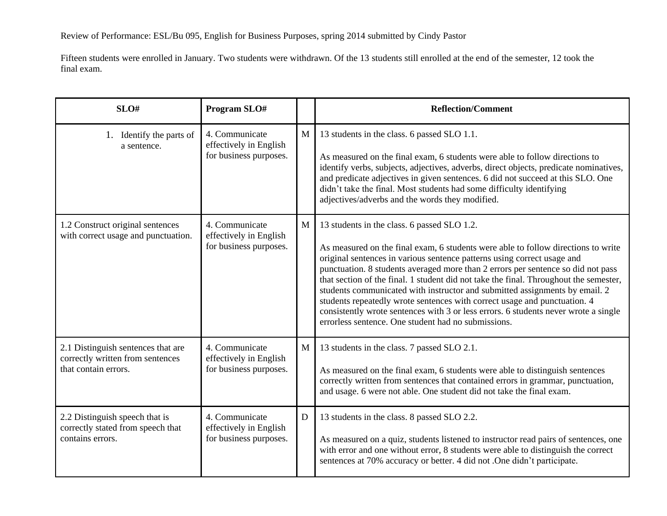Fifteen students were enrolled in January. Two students were withdrawn. Of the 13 students still enrolled at the end of the semester, 12 took the final exam.

| SLO#                                                                                           | Program SLO#                                                       |              | <b>Reflection/Comment</b>                                                                                                                                                                                                                                                                                                                                                                                                                                                                                                                                                                                                                                                                          |
|------------------------------------------------------------------------------------------------|--------------------------------------------------------------------|--------------|----------------------------------------------------------------------------------------------------------------------------------------------------------------------------------------------------------------------------------------------------------------------------------------------------------------------------------------------------------------------------------------------------------------------------------------------------------------------------------------------------------------------------------------------------------------------------------------------------------------------------------------------------------------------------------------------------|
| 1. Identify the parts of<br>a sentence.                                                        | 4. Communicate<br>effectively in English<br>for business purposes. | M            | 13 students in the class. 6 passed SLO 1.1.<br>As measured on the final exam, 6 students were able to follow directions to<br>identify verbs, subjects, adjectives, adverbs, direct objects, predicate nominatives,<br>and predicate adjectives in given sentences. 6 did not succeed at this SLO. One<br>didn't take the final. Most students had some difficulty identifying<br>adjectives/adverbs and the words they modified.                                                                                                                                                                                                                                                                  |
| 1.2 Construct original sentences<br>with correct usage and punctuation.                        | 4. Communicate<br>effectively in English<br>for business purposes. | $\mathbf{M}$ | 13 students in the class. 6 passed SLO 1.2.<br>As measured on the final exam, 6 students were able to follow directions to write<br>original sentences in various sentence patterns using correct usage and<br>punctuation. 8 students averaged more than 2 errors per sentence so did not pass<br>that section of the final. 1 student did not take the final. Throughout the semester,<br>students communicated with instructor and submitted assignments by email. 2<br>students repeatedly wrote sentences with correct usage and punctuation. 4<br>consistently wrote sentences with 3 or less errors. 6 students never wrote a single<br>errorless sentence. One student had no submissions. |
| 2.1 Distinguish sentences that are<br>correctly written from sentences<br>that contain errors. | 4. Communicate<br>effectively in English<br>for business purposes. | $\mathbf{M}$ | 13 students in the class. 7 passed SLO 2.1.<br>As measured on the final exam, 6 students were able to distinguish sentences<br>correctly written from sentences that contained errors in grammar, punctuation,<br>and usage. 6 were not able. One student did not take the final exam.                                                                                                                                                                                                                                                                                                                                                                                                             |
| 2.2 Distinguish speech that is<br>correctly stated from speech that<br>contains errors.        | 4. Communicate<br>effectively in English<br>for business purposes. | $\mathbf D$  | 13 students in the class. 8 passed SLO 2.2.<br>As measured on a quiz, students listened to instructor read pairs of sentences, one<br>with error and one without error, 8 students were able to distinguish the correct<br>sentences at 70% accuracy or better. 4 did not .One didn't participate.                                                                                                                                                                                                                                                                                                                                                                                                 |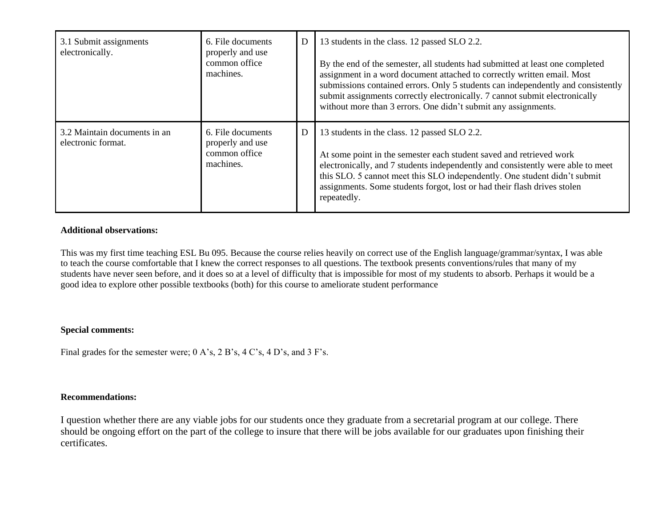| 3.1 Submit assignments<br>electronically.          | 6. File documents<br>properly and use<br>common office<br>machines. | D | 13 students in the class. 12 passed SLO 2.2.<br>By the end of the semester, all students had submitted at least one completed<br>assignment in a word document attached to correctly written email. Most<br>submissions contained errors. Only 5 students can independently and consistently<br>submit assignments correctly electronically. 7 cannot submit electronically<br>without more than 3 errors. One didn't submit any assignments. |
|----------------------------------------------------|---------------------------------------------------------------------|---|-----------------------------------------------------------------------------------------------------------------------------------------------------------------------------------------------------------------------------------------------------------------------------------------------------------------------------------------------------------------------------------------------------------------------------------------------|
| 3.2 Maintain documents in an<br>electronic format. | 6. File documents<br>properly and use<br>common office<br>machines. | D | 13 students in the class. 12 passed SLO 2.2.<br>At some point in the semester each student saved and retrieved work<br>electronically, and 7 students independently and consistently were able to meet<br>this SLO. 5 cannot meet this SLO independently. One student didn't submit<br>assignments. Some students forgot, lost or had their flash drives stolen<br>repeatedly.                                                                |

## **Additional observations:**

This was my first time teaching ESL Bu 095. Because the course relies heavily on correct use of the English language/grammar/syntax, I was able to teach the course comfortable that I knew the correct responses to all questions. The textbook presents conventions/rules that many of my students have never seen before, and it does so at a level of difficulty that is impossible for most of my students to absorb. Perhaps it would be a good idea to explore other possible textbooks (both) for this course to ameliorate student performance

## **Special comments:**

Final grades for the semester were; 0 A's, 2 B's, 4 C's, 4 D's, and 3 F's.

## **Recommendations:**

I question whether there are any viable jobs for our students once they graduate from a secretarial program at our college. There should be ongoing effort on the part of the college to insure that there will be jobs available for our graduates upon finishing their certificates.